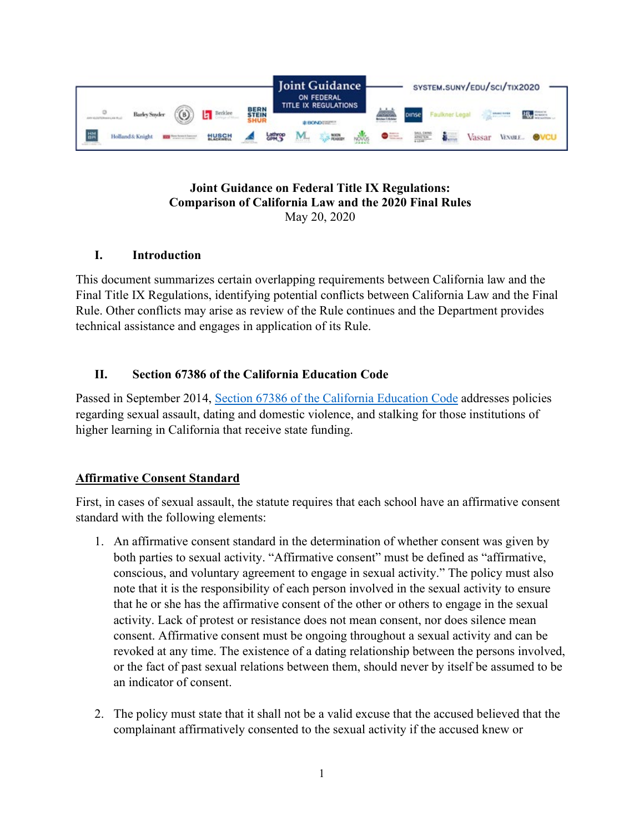

#### **Joint Guidance on Federal Title IX Regulations: Comparison of California Law and the 2020 Final Rules** May 20, 2020

# **I. Introduction**

This document summarizes certain overlapping requirements between California law and the Final Title IX Regulations, identifying potential conflicts between California Law and the Final Rule. Other conflicts may arise as review of the Rule continues and the Department provides technical assistance and engages in application of its Rule.

### **II. Section 67386 of the California Education Code**

Passed in September 2014, [Section 67386 of the California Education Code](http://leginfo.legislature.ca.gov/faces/codes_displaySection.xhtml?lawCode=EDC§ionNum=67386.) addresses policies regarding sexual assault, dating and domestic violence, and stalking for those institutions of higher learning in California that receive state funding.

### **Affirmative Consent Standard**

First, in cases of sexual assault, the statute requires that each school have an affirmative consent standard with the following elements:

- 1. An affirmative consent standard in the determination of whether consent was given by both parties to sexual activity. "Affirmative consent" must be defined as "affirmative, conscious, and voluntary agreement to engage in sexual activity." The policy must also note that it is the responsibility of each person involved in the sexual activity to ensure that he or she has the affirmative consent of the other or others to engage in the sexual activity. Lack of protest or resistance does not mean consent, nor does silence mean consent. Affirmative consent must be ongoing throughout a sexual activity and can be revoked at any time. The existence of a dating relationship between the persons involved, or the fact of past sexual relations between them, should never by itself be assumed to be an indicator of consent.
- 2. The policy must state that it shall not be a valid excuse that the accused believed that the complainant affirmatively consented to the sexual activity if the accused knew or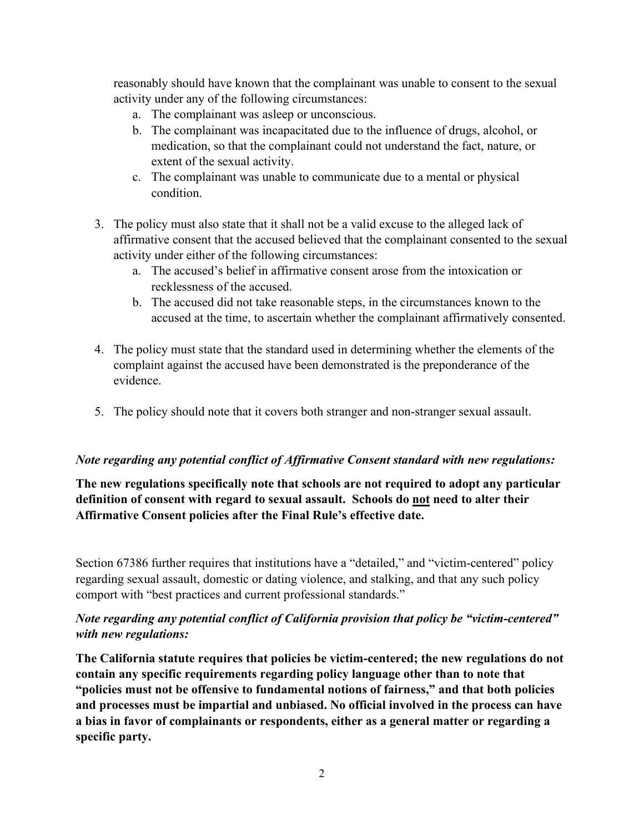reasonably should have known that the complainant was unable to consent to the sexual activity under any of the following circumstances:

- a. The complainant was asleep or unconscious.
- b. The complainant was incapacitated due to the influence of drugs, alcohol, or medication, so that the complainant could not understand the fact, nature, or extent of the sexual activity.
- c. The complainant was unable to communicate due to a mental or physical condition.
- 3. The policy must also state that it shall not be a valid excuse to the alleged lack of affirmative consent that the accused believed that the complainant consented to the sexual activity under either of the following circumstances:
	- a. The accused's belief in affirmative consent arose from the intoxication or recklessness of the accused.
	- b. The accused did not take reasonable steps, in the circumstances known to the accused at the time, to ascertain whether the complainant affirmatively consented.
- 4. The policy must state that the standard used in determining whether the elements of the complaint against the accused have been demonstrated is the preponderance of the evidence.
- 5. The policy should note that it covers both stranger and non-stranger sexual assault.

#### *Note regarding any potential conflict of Affirmative Consent standard with new regulations:*

### **The new regulations specifically note that schools are not required to adopt any particular definition of consent with regard to sexual assault. Schools do not need to alter their Affirmative Consent policies after the Final Rule's effective date.**

Section 67386 further requires that institutions have a "detailed," and "victim-centered" policy regarding sexual assault, domestic or dating violence, and stalking, and that any such policy comport with "best practices and current professional standards."

### *Note regarding any potential conflict of California provision that policy be "victim-centered" with new regulations:*

**The California statute requires that policies be victim-centered; the new regulations do not contain any specific requirements regarding policy language other than to note that "policies must not be offensive to fundamental notions of fairness," and that both policies and processes must be impartial and unbiased. No official involved in the process can have a bias in favor of complainants or respondents, either as a general matter or regarding a specific party.**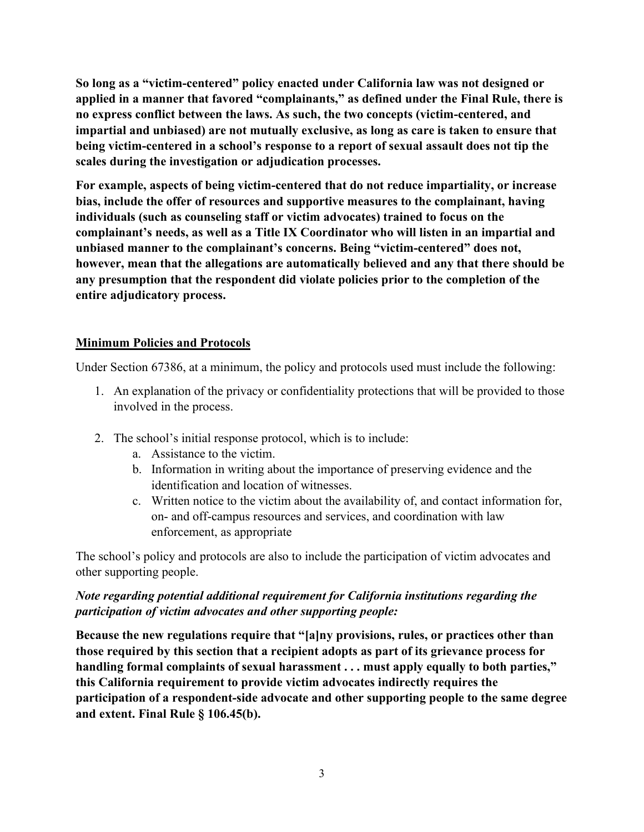**So long as a "victim-centered" policy enacted under California law was not designed or applied in a manner that favored "complainants," as defined under the Final Rule, there is no express conflict between the laws. As such, the two concepts (victim-centered, and impartial and unbiased) are not mutually exclusive, as long as care is taken to ensure that being victim-centered in a school's response to a report of sexual assault does not tip the scales during the investigation or adjudication processes.** 

**For example, aspects of being victim-centered that do not reduce impartiality, or increase bias, include the offer of resources and supportive measures to the complainant, having individuals (such as counseling staff or victim advocates) trained to focus on the complainant's needs, as well as a Title IX Coordinator who will listen in an impartial and unbiased manner to the complainant's concerns. Being "victim-centered" does not, however, mean that the allegations are automatically believed and any that there should be any presumption that the respondent did violate policies prior to the completion of the entire adjudicatory process.** 

### **Minimum Policies and Protocols**

Under Section 67386, at a minimum, the policy and protocols used must include the following:

- 1. An explanation of the privacy or confidentiality protections that will be provided to those involved in the process.
- 2. The school's initial response protocol, which is to include:
	- a. Assistance to the victim.
	- b. Information in writing about the importance of preserving evidence and the identification and location of witnesses.
	- c. Written notice to the victim about the availability of, and contact information for, on- and off-campus resources and services, and coordination with law enforcement, as appropriate

The school's policy and protocols are also to include the participation of victim advocates and other supporting people.

# *Note regarding potential additional requirement for California institutions regarding the participation of victim advocates and other supporting people:*

**Because the new regulations require that "[a]ny provisions, rules, or practices other than those required by this section that a recipient adopts as part of its grievance process for handling formal complaints of sexual harassment . . . must apply equally to both parties," this California requirement to provide victim advocates indirectly requires the participation of a respondent-side advocate and other supporting people to the same degree and extent. Final Rule § 106.45(b).**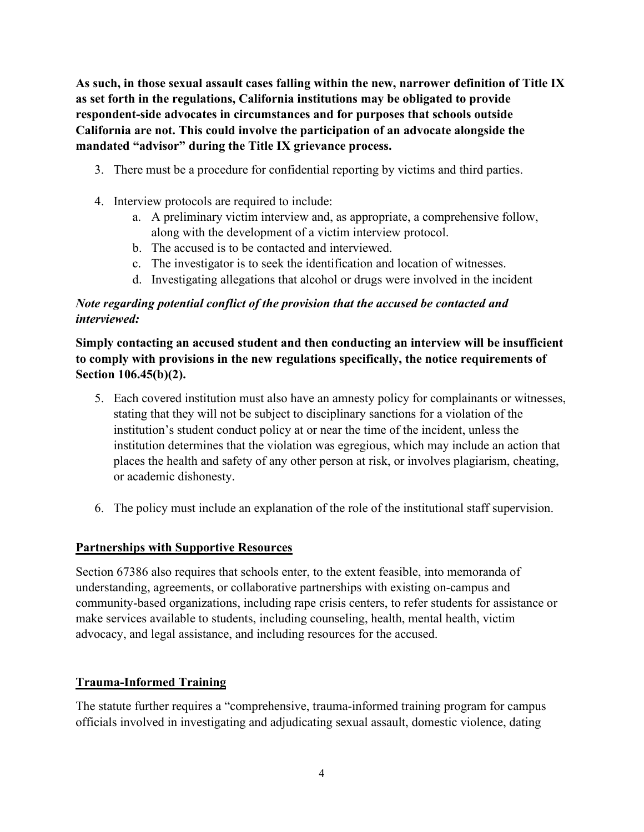**As such, in those sexual assault cases falling within the new, narrower definition of Title IX as set forth in the regulations, California institutions may be obligated to provide respondent-side advocates in circumstances and for purposes that schools outside California are not. This could involve the participation of an advocate alongside the mandated "advisor" during the Title IX grievance process.** 

- 3. There must be a procedure for confidential reporting by victims and third parties.
- 4. Interview protocols are required to include:
	- a. A preliminary victim interview and, as appropriate, a comprehensive follow, along with the development of a victim interview protocol.
	- b. The accused is to be contacted and interviewed.
	- c. The investigator is to seek the identification and location of witnesses.
	- d. Investigating allegations that alcohol or drugs were involved in the incident

### *Note regarding potential conflict of the provision that the accused be contacted and interviewed:*

**Simply contacting an accused student and then conducting an interview will be insufficient to comply with provisions in the new regulations specifically, the notice requirements of Section 106.45(b)(2).**

- 5. Each covered institution must also have an amnesty policy for complainants or witnesses, stating that they will not be subject to disciplinary sanctions for a violation of the institution's student conduct policy at or near the time of the incident, unless the institution determines that the violation was egregious, which may include an action that places the health and safety of any other person at risk, or involves plagiarism, cheating, or academic dishonesty.
- 6. The policy must include an explanation of the role of the institutional staff supervision.

### **Partnerships with Supportive Resources**

Section 67386 also requires that schools enter, to the extent feasible, into memoranda of understanding, agreements, or collaborative partnerships with existing on-campus and community-based organizations, including rape crisis centers, to refer students for assistance or make services available to students, including counseling, health, mental health, victim advocacy, and legal assistance, and including resources for the accused.

# **Trauma-Informed Training**

The statute further requires a "comprehensive, trauma-informed training program for campus officials involved in investigating and adjudicating sexual assault, domestic violence, dating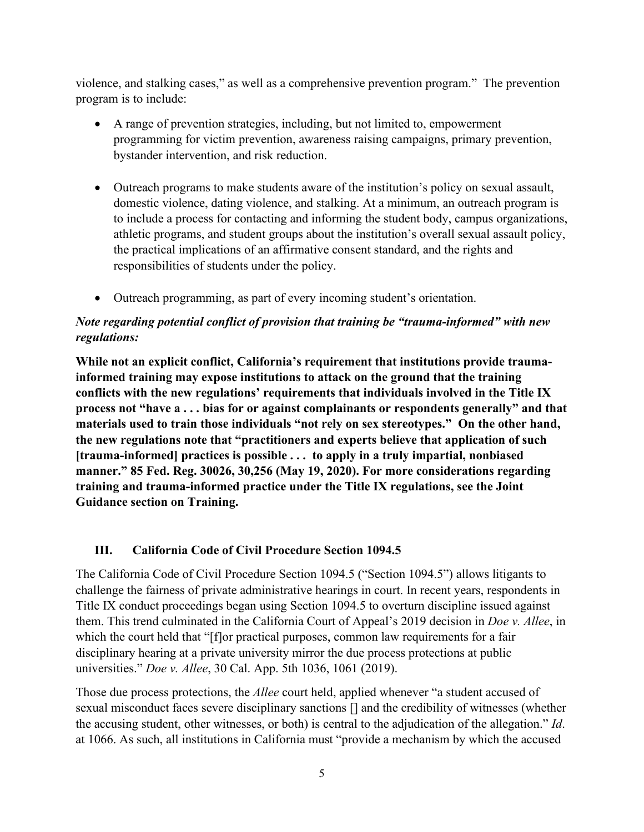violence, and stalking cases," as well as a comprehensive prevention program." The prevention program is to include:

- A range of prevention strategies, including, but not limited to, empowerment programming for victim prevention, awareness raising campaigns, primary prevention, bystander intervention, and risk reduction.
- Outreach programs to make students aware of the institution's policy on sexual assault, domestic violence, dating violence, and stalking. At a minimum, an outreach program is to include a process for contacting and informing the student body, campus organizations, athletic programs, and student groups about the institution's overall sexual assault policy, the practical implications of an affirmative consent standard, and the rights and responsibilities of students under the policy.
- Outreach programming, as part of every incoming student's orientation.

# *Note regarding potential conflict of provision that training be "trauma-informed" with new regulations:*

**While not an explicit conflict, California's requirement that institutions provide traumainformed training may expose institutions to attack on the ground that the training conflicts with the new regulations' requirements that individuals involved in the Title IX process not "have a . . . bias for or against complainants or respondents generally" and that materials used to train those individuals "not rely on sex stereotypes." On the other hand, the new regulations note that "practitioners and experts believe that application of such [trauma-informed] practices is possible . . . to apply in a truly impartial, nonbiased manner." 85 Fed. Reg. 30026, 30,256 (May 19, 2020). For more considerations regarding training and trauma-informed practice under the Title IX regulations, see the Joint Guidance section on Training.** 

# **III. California Code of Civil Procedure Section 1094.5**

The California Code of Civil Procedure Section 1094.5 ("Section 1094.5") allows litigants to challenge the fairness of private administrative hearings in court. In recent years, respondents in Title IX conduct proceedings began using Section 1094.5 to overturn discipline issued against them. This trend culminated in the California Court of Appeal's 2019 decision in *Doe v. Allee*, in which the court held that "[f]or practical purposes, common law requirements for a fair disciplinary hearing at a private university mirror the due process protections at public universities." *Doe v. Allee*, 30 Cal. App. 5th 1036, 1061 (2019).

Those due process protections, the *Allee* court held, applied whenever "a student accused of sexual misconduct faces severe disciplinary sanctions [] and the credibility of witnesses (whether the accusing student, other witnesses, or both) is central to the adjudication of the allegation." *Id*. at 1066. As such, all institutions in California must "provide a mechanism by which the accused